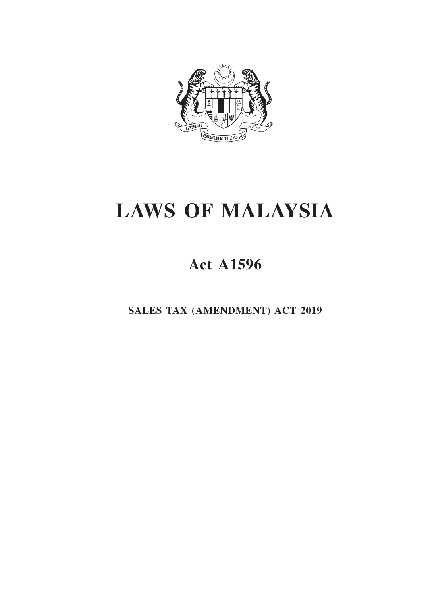

# **LAWS OF MALAYSIA**

# **Act A1596**

**SALES TAX (AMENDMENT) ACT 2019**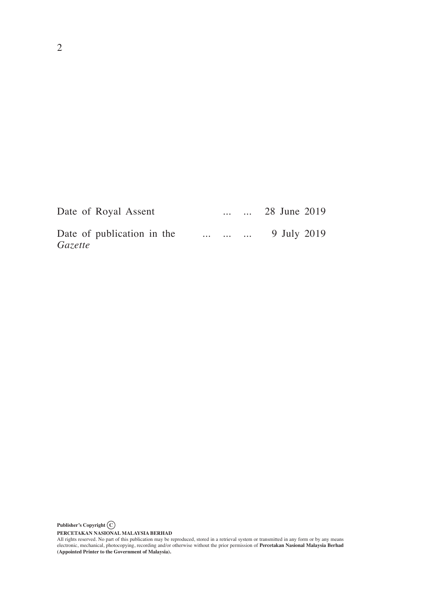| Date of Royal Assent                  | <b>Contractor</b> |                   | $\ldots$ 28 June 2019 |
|---------------------------------------|-------------------|-------------------|-----------------------|
| Date of publication in the<br>Gazette |                   | $\cdots$ $\cdots$ | 9 July 2019           |

**Publisher's Copyright C**

PERCETAKAN NASIONAL MALAYSIA BERHAD<br>All rights reserved. No part of this publication may be reproduced, stored in a retrieval system or transmitted in any form or by any means<br>electronic, mechanical, photocopying, recordin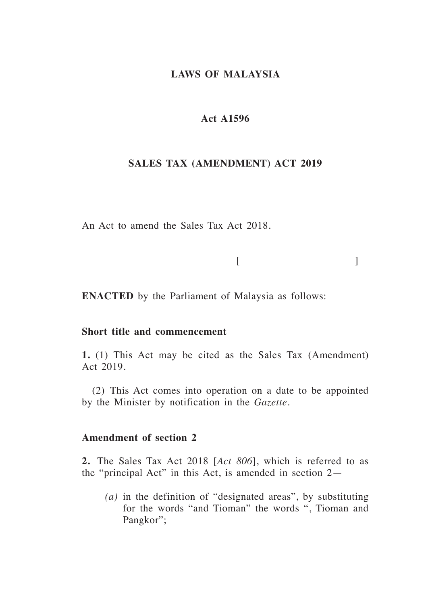### **LAWS OF MALAYSIA**

# **Act A1596**

#### **SALES TAX (AMENDMENT) ACT 2019**

An Act to amend the Sales Tax Act 2018.

 $[$ 

**ENACTED** by the Parliament of Malaysia as follows:

#### **Short title and commencement**

**1.** (1) This Act may be cited as the Sales Tax (Amendment) Act 2019.

(2) This Act comes into operation on a date to be appointed by the Minister by notification in the *Gazette.* 

#### **Amendment of section 2**

**2.** The Sales Tax Act 2018 [*Act 806*], which is referred to as the "principal Act" in this Act, is amended in section 2—

*(a)* in the definition of "designated areas", by substituting for the words "and Tioman" the words ", Tioman and Pangkor";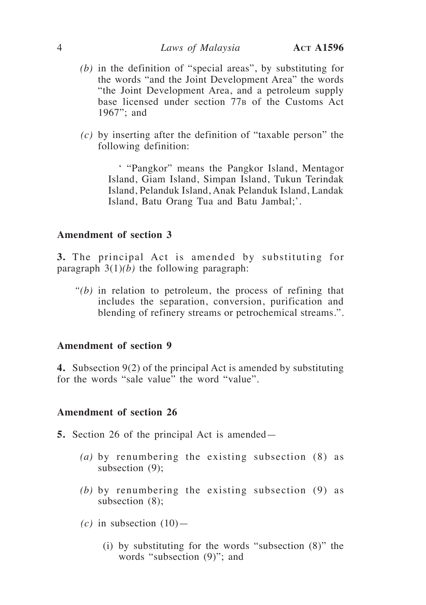- *(b)* in the definition of "special areas", by substituting for the words "and the Joint Development Area" the words "the Joint Development Area, and a petroleum supply base licensed under section 77<sub>B</sub> of the Customs Act 1967"; and
- *(c)* by inserting after the definition of "taxable person" the following definition:

' "Pangkor" means the Pangkor Island, Mentagor Island, Giam Island, Simpan Island, Tukun Terindak Island, Pelanduk Island, Anak Pelanduk Island, Landak Island, Batu Orang Tua and Batu Jambal;'.

# **Amendment of section 3**

**3.** The principal Act is amended by substituting for paragraph 3(1)*(b)* the following paragraph:

*"(b)* in relation to petroleum, the process of refining that includes the separation, conversion, purification and blending of refinery streams or petrochemical streams.".

#### **Amendment of section 9**

**4.** Subsection 9(2) of the principal Act is amended by substituting for the words "sale value" the word "value".

#### **Amendment of section 26**

- **5.** Section 26 of the principal Act is amended—
	- *(a)* by renumbering the existing subsection (8) as subsection (9);
	- *(b)* by renumbering the existing subsection (9) as subsection (8);
	- $(c)$  in subsection  $(10)$ 
		- (i) by substituting for the words "subsection (8)" the words "subsection (9)"; and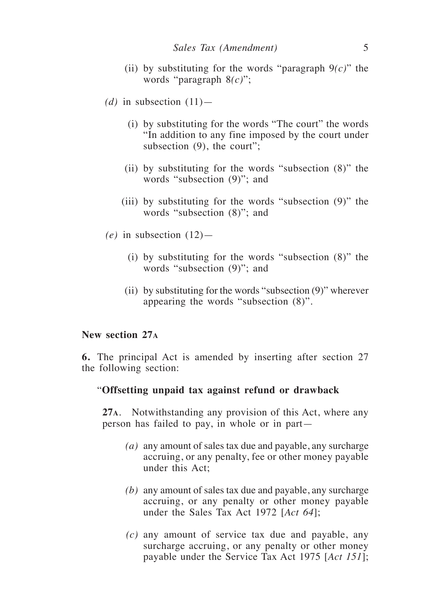- (ii) by substituting for the words "paragraph 9*(c)*" the words "paragraph 8*(c)*";
- (d) in subsection  $(11)$ 
	- (i) by substituting for the words "The court" the words "In addition to any fine imposed by the court under subsection (9), the court";
	- (ii) by substituting for the words "subsection (8)" the words "subsection (9)"; and
	- (iii) by substituting for the words "subsection (9)" the words "subsection (8)"; and
- $(e)$  in subsection  $(12)$ 
	- (i) by substituting for the words "subsection (8)" the words "subsection (9)"; and
	- (ii) by substituting for the words "subsection (9)" wherever appearing the words "subsection (8)".

#### **New section 27<sup>a</sup>**

**6.** The principal Act is amended by inserting after section 27 the following section:

#### "**Offsetting unpaid tax against refund or drawback**

**27a**. Notwithstanding any provision of this Act, where any person has failed to pay, in whole or in part—

- *(a)* any amount of sales tax due and payable, any surcharge accruing, or any penalty, fee or other money payable under this Act;
- *(b)* any amount of sales tax due and payable, any surcharge accruing, or any penalty or other money payable under the Sales Tax Act 1972 [*Act 64*];
- *(c)* any amount of service tax due and payable, any surcharge accruing, or any penalty or other money payable under the Service Tax Act 1975 [*Act 151*];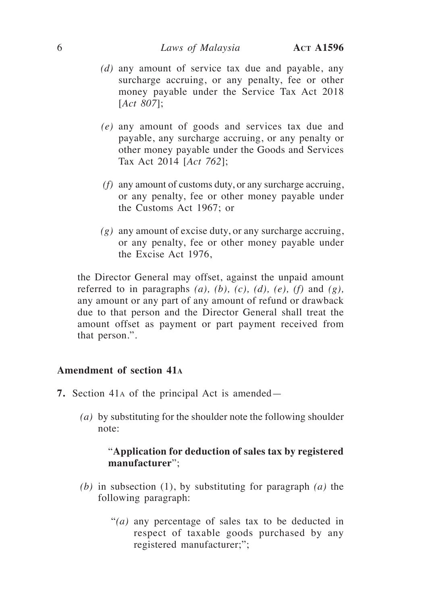- *(d)* any amount of service tax due and payable, any surcharge accruing, or any penalty, fee or other money payable under the Service Tax Act 2018 [*Act 807*];
- *(e)* any amount of goods and services tax due and payable, any surcharge accruing, or any penalty or other money payable under the Goods and Services Tax Act 2014 [*Act 762*];
- *(f)* any amount of customs duty, or any surcharge accruing, or any penalty, fee or other money payable under the Customs Act 1967; or
- *(g)* any amount of excise duty, or any surcharge accruing, or any penalty, fee or other money payable under the Excise Act 1976,

the Director General may offset, against the unpaid amount referred to in paragraphs  $(a)$ ,  $(b)$ ,  $(c)$ ,  $(d)$ ,  $(e)$ ,  $(f)$  and  $(g)$ , any amount or any part of any amount of refund or drawback due to that person and the Director General shall treat the amount offset as payment or part payment received from that person.".

## **Amendment of section 41<sup>a</sup>**

- **7.** Section 41a of the principal Act is amended—
	- *(a)* by substituting for the shoulder note the following shoulder note:

# "**Application for deduction of sales tax by registered manufacturer**";

- *(b)* in subsection (1), by substituting for paragraph *(a)* the following paragraph:
	- "*(a)* any percentage of sales tax to be deducted in respect of taxable goods purchased by any registered manufacturer;";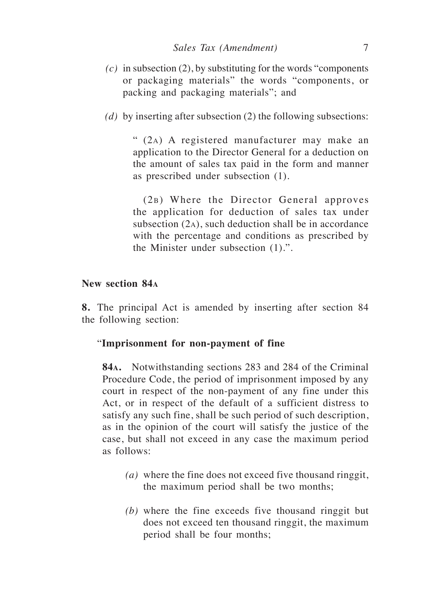- *(c)* in subsection (2), by substituting for the words "components or packaging materials" the words "components, or packing and packaging materials"; and
- *(d)* by inserting after subsection (2) the following subsections:

" (2a) A registered manufacturer may make an application to the Director General for a deduction on the amount of sales tax paid in the form and manner as prescribed under subsection (1).

(2b) Where the Director General approves the application for deduction of sales tax under subsection (2a), such deduction shall be in accordance with the percentage and conditions as prescribed by the Minister under subsection (1).".

#### **New section 84<sup>a</sup>**

**8.** The principal Act is amended by inserting after section 84 the following section:

## "**Imprisonment for non-payment of fine**

**84a.** Notwithstanding sections 283 and 284 of the Criminal Procedure Code, the period of imprisonment imposed by any court in respect of the non-payment of any fine under this Act, or in respect of the default of a sufficient distress to satisfy any such fine, shall be such period of such description, as in the opinion of the court will satisfy the justice of the case, but shall not exceed in any case the maximum period as follows:

- *(a)* where the fine does not exceed five thousand ringgit, the maximum period shall be two months;
- *(b)* where the fine exceeds five thousand ringgit but does not exceed ten thousand ringgit, the maximum period shall be four months;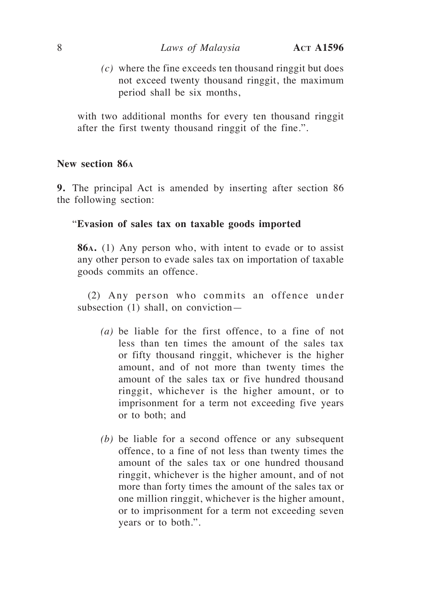*(c)* where the fine exceeds ten thousand ringgit but does not exceed twenty thousand ringgit, the maximum period shall be six months,

with two additional months for every ten thousand ringgit after the first twenty thousand ringgit of the fine.".

#### **New section 86<sup>a</sup>**

**9.** The principal Act is amended by inserting after section 86 the following section:

#### "**Evasion of sales tax on taxable goods imported**

**86a.** (1) Any person who, with intent to evade or to assist any other person to evade sales tax on importation of taxable goods commits an offence.

(2) Any person who commits an offence under subsection (1) shall, on conviction—

- *(a)* be liable for the first offence, to a fine of not less than ten times the amount of the sales tax or fifty thousand ringgit, whichever is the higher amount, and of not more than twenty times the amount of the sales tax or five hundred thousand ringgit, whichever is the higher amount, or to imprisonment for a term not exceeding five years or to both; and
- *(b)* be liable for a second offence or any subsequent offence, to a fine of not less than twenty times the amount of the sales tax or one hundred thousand ringgit, whichever is the higher amount, and of not more than forty times the amount of the sales tax or one million ringgit, whichever is the higher amount, or to imprisonment for a term not exceeding seven years or to both.".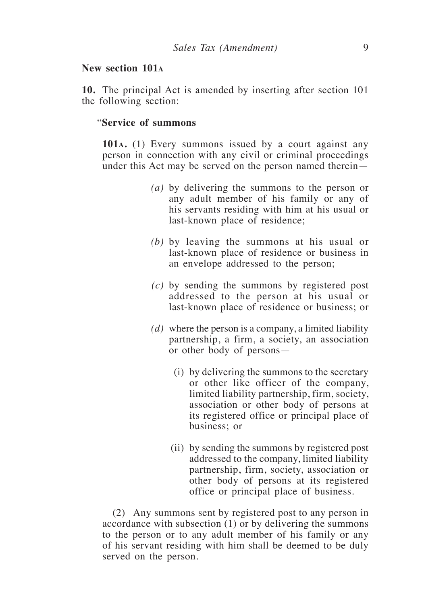#### **New section 101<sup>a</sup>**

**10.** The principal Act is amended by inserting after section 101 the following section:

#### "**Service of summons**

**101a.** (1) Every summons issued by a court against any person in connection with any civil or criminal proceedings under this Act may be served on the person named therein—

- *(a)* by delivering the summons to the person or any adult member of his family or any of his servants residing with him at his usual or last-known place of residence;
- *(b)* by leaving the summons at his usual or last-known place of residence or business in an envelope addressed to the person;
- *(c)* by sending the summons by registered post addressed to the person at his usual or last-known place of residence or business; or
- *(d)* where the person is a company, a limited liability partnership, a firm, a society, an association or other body of persons—
	- (i) by delivering the summons to the secretary or other like officer of the company, limited liability partnership, firm, society, association or other body of persons at its registered office or principal place of business; or
	- (ii) by sending the summons by registered post addressed to the company, limited liability partnership, firm, society, association or other body of persons at its registered office or principal place of business.

(2) Any summons sent by registered post to any person in accordance with subsection (1) or by delivering the summons to the person or to any adult member of his family or any of his servant residing with him shall be deemed to be duly served on the person.